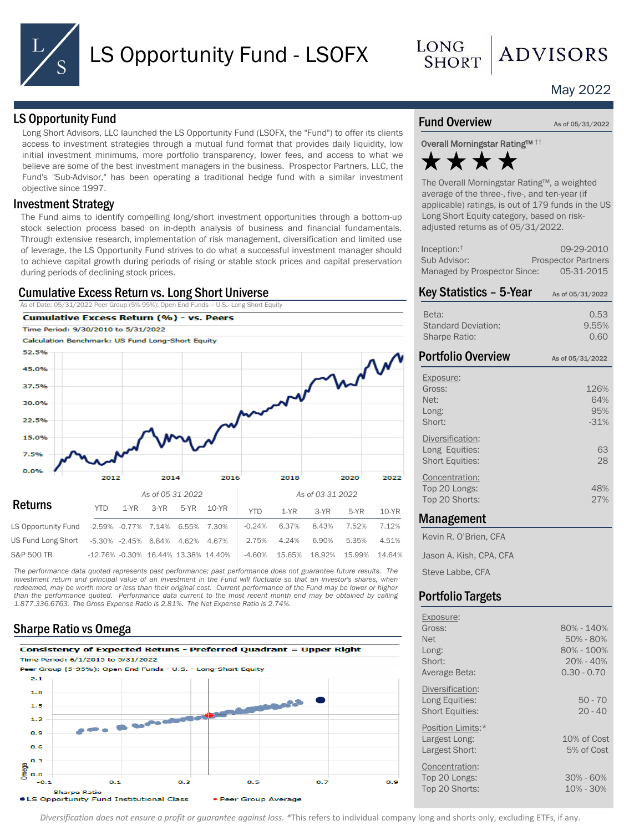

LONG **SHORT** 

# May 2022

**ADVISORS** 

## LS Opportunity Fund

Long Short Advisors, LLC launched the LS Opportunity Fund (LSOFX, the "Fund") to offer its clients access to investment strategies through a mutual fund format that provides daily liquidity, low initial investment minimums, more portfolio transparency, lower fees, and access to what we believe are some of the best investment managers in the business. Prospector Partners, LLC, the Fund's "Sub-Advisor," has been operating a traditional hedge fund with a similar investment objective since 1997.

### Investment Strategy

The Fund aims to identify compelling long/short investment opportunities through a bottom-up stock selection process based on in-depth analysis of business and financial fundamentals. Through extensive research, implementation of risk management, diversification and limited use of leverage, the LS Opportunity Fund strives to do what a successful investment manager should to achieve capital growth during periods of rising or stable stock prices and capital preservation during periods of declining stock prices.

## Cumulative Excess Return vs. Long Short Universe

As of Date: 05/31/2022 Peer Group (5%-95%): Open End Funds – U.S.- Long Short Equity



*The performance data quoted represents past performance; past performance does not guarantee future results. The* investment return and principal value of an investment in the Fund will fluctuate so that an investor's shares, when redeemed, may be worth more or less than their original cost. Current performance of the Fund may be lower or higher than the performance quoted. Performance data current to the most recent month end may be obtained by calling *1.877.336.6763. The Gross Expense Ratio is 2.81%. The Net Expense Ratio is 2.74%.*

# Sharpe Ratio vs Omega



### Fund Overview As of 05/31/2022

Overall Morningstar Rating™ ††



The Overall Morningstar Rating™, a weighted average of the three-, five-, and ten-year (if applicable) ratings, is out of 179 funds in the US Long Short Equity category, based on riskadjusted returns as of 05/31/2022.

| Inception:†                  | 09-29-2010                 |
|------------------------------|----------------------------|
| Sub Advisor:                 | <b>Prospector Partners</b> |
| Managed by Prospector Since: | 05-31-2015                 |

| Key Statistics - 5-Year                                      | As of 05/31/2022             |  |  |  |
|--------------------------------------------------------------|------------------------------|--|--|--|
| Beta:<br><b>Standard Deviation:</b><br><b>Sharpe Ratio:</b>  | 0.53<br>9.55%<br>0.60        |  |  |  |
| <b>Portfolio Overview</b>                                    | As of 05/31/2022             |  |  |  |
| Exposure:<br>Gross:<br>Net:<br>Long:<br>Short:               | 126%<br>64%<br>95%<br>$-31%$ |  |  |  |
| Diversification:<br>Long Equities:<br><b>Short Equities:</b> | 63<br>28                     |  |  |  |
| Concentration:<br>Top 20 Longs:<br>Top 20 Shorts:            | 48%<br>27%                   |  |  |  |
| . <i>. .</i>                                                 |                              |  |  |  |

#### Management

Kevin R. O'Brien, CFA Jason A. Kish, CPA, CFA

Steve Labbe, CFA

# Portfolio Targets

| Exposure:                                                    |                                |
|--------------------------------------------------------------|--------------------------------|
| Gross:                                                       | $80\% - 140\%$                 |
| <b>Net</b>                                                   | 50% - 80%                      |
| Long:                                                        | 80% - 100%                     |
| Short:                                                       | $20% - 40%$                    |
| Average Beta:                                                | $0.30 - 0.70$                  |
| Diversification:<br>Long Equities:<br><b>Short Equities:</b> | $50 - 70$<br>$20 - 40$         |
| Position Limits:*                                            |                                |
| Largest Long:                                                | 10% of Cost                    |
| Largest Short:                                               | 5% of Cost                     |
| Concentration:<br>Top 20 Longs:<br>Top 20 Shorts:            | $30\% - 60\%$<br>$10\% - 30\%$ |
|                                                              |                                |

*Diversification does not ensure a profit or guarantee against loss. \**This refers to individual company long and shorts only, excluding ETFs, if any.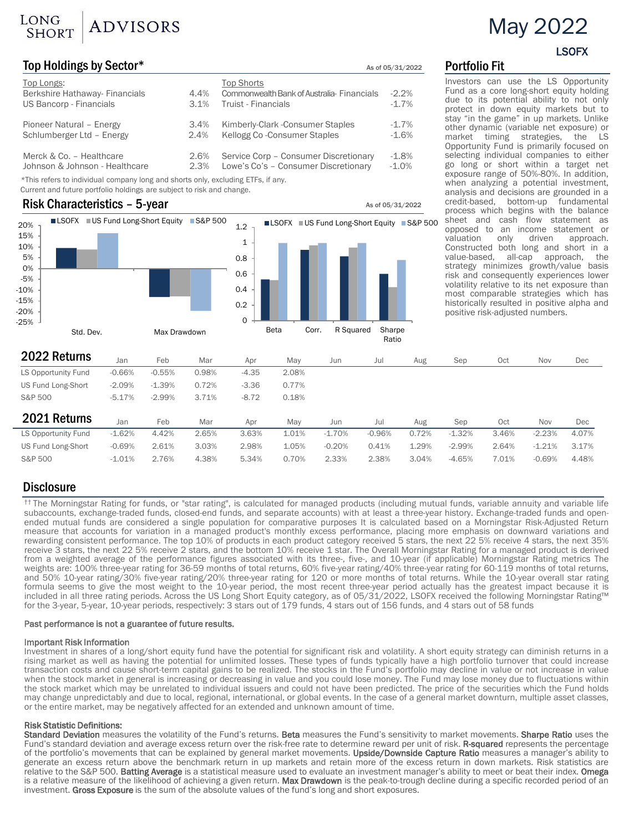# LONG ADVISORS

# Top Holdings by Sector\* The Control of the Control of the As of 05/31/2022 Portfolio Fit

| Top Longs:<br>Berkshire Hathaway- Financials<br>US Bancorp - Financials | 4.4%<br>3.1% | <b>Top Shorts</b><br>Commonwealth Bank of Australia-Financials<br><b>Truist - Financials</b> | $-2.2%$<br>$-1.7%$ |
|-------------------------------------------------------------------------|--------------|----------------------------------------------------------------------------------------------|--------------------|
| Pioneer Natural - Energy                                                | $3.4\%$      | Kimberly-Clark - Consumer Staples                                                            | $-1.7\%$           |
| Schlumberger Ltd - Energy                                               | 2.4%         | Kellogg Co-Consumer Staples                                                                  | $-1.6%$            |
| Merck & Co. - Healthcare                                                | 2.6%         | Service Corp - Consumer Discretionary                                                        | $-1.8%$            |
| Johnson & Johnson - Healthcare                                          | 2.3%         | Lowe's Co's - Consumer Discretionary                                                         | $-1.0%$            |

*\**This refers to individual company long and shorts only, excluding ETFs, if any.

Current and future portfolio holdings are subject to risk and change.

## Risk Characteristics – 5-year  $\overline{a}$  As of 05/31/2022



Investors can use the LS Opportunity Fund as a core long-short equity holding due to its potential ability to not only protect in down equity markets but to stay "in the game" in up markets. Unlike other dynamic (variable net exposure) or market timing strategies, the LS Opportunity Fund is primarily focused on selecting individual companies to either go long or short within a target net exposure range of 50%-80%. In addition, when analyzing a potential investment, analysis and decisions are grounded in a<br>credit-based, bottom-up fundamental process which begins with the balance<br>sheet and cash flow statement as opposed to an income statement or valuation only driven approach.<br>Constructed both long and short in a value-based, all-cap approach, the strategy minimizes growth/value basis risk and consequently experiences lower volatility relative to its net exposure than most comparable strategies which has historically resulted in positive alpha and positive risk-adjusted numbers.

| 2022 Returns        | Jan      | Feb      | Mar   | Apr     | May   | Jun      | Jul      | Aug   | Sep      | Oct   | Nov      | Dec   |
|---------------------|----------|----------|-------|---------|-------|----------|----------|-------|----------|-------|----------|-------|
| LS Opportunity Fund | $-0.66%$ | $-0.55%$ | 0.98% | $-4.35$ | 2.08% |          |          |       |          |       |          |       |
| US Fund Long-Short  | $-2.09%$ | $-1.39%$ | 0.72% | $-3.36$ | 0.77% |          |          |       |          |       |          |       |
| S&P 500             | $-5.17%$ | $-2.99%$ | 3.71% | $-8.72$ | 0.18% |          |          |       |          |       |          |       |
|                     |          |          |       |         |       |          |          |       |          |       |          |       |
|                     |          |          |       |         |       |          |          |       |          |       |          |       |
| 2021 Returns        | Jan      | Feb      | Mar   | Apr     | Mav   | Jun      | Jul      | Aug   | Sep      | Oct   | Nov      | Dec   |
| LS Opportunity Fund | $-1.62%$ | 4.42%    | 2.65% | 3.63%   | 1.01% | $-1.70%$ | $-0.96%$ | 0.72% | $-1.32%$ | 3.46% | $-2.23%$ | 4.07% |
| US Fund Long-Short  | $-0.69%$ | 2.61%    | 3.03% | 2.98%   | 1.05% | $-0.20%$ | 0.41%    | 1.29% | $-2.99%$ | 2.64% | $-1.21%$ | 3.17% |

# **Disclosure**

<sup>††</sup> The Morningstar Rating for funds, or "star rating", is calculated for managed products (including mutual funds, variable annuity and variable life subaccounts, exchange-traded funds and openended mutual funds are considered a single population for comparative purposes It is calculated based on a Morningstar Risk-Adjusted Return<br>measure that accounts for variation in a managed product's monthly excess performa rewarding consistent performance. The top 10% of products in each product category received 5 stars, the next 22 5% receive 4 stars, the next 35% receive 3 stars, the next 22 5% receive 2 stars, and the bottom 10% receive 1 star. The Overall Morningstar Rating for a managed product is derived from a weighted average of the performance figures associated with its three-, five-, and 10-year (if applicable) Morningstar Rating metrics The weights are: 100% three-year rating for 36-59 months of total returns, 60% five-year rating/40% three-year rating for 60-119 months of total returns, and 50% 10-year rating/30% five-year rating/20% three-year rating for 120 or more months of total returns. While the 10-year overall star rating formula seems to give the most weight to the 10-year period, the most recent three-year period actually has the greatest impact because it is included in all three rating periods. Across the US Long Short Equity category, as of 05/31/2022, LSOFX received the following Morningstar Rating™<br>for the 3-year, 5-year, 10-year periods, respectively: 3 stars out of 179

#### Past performance is not a guarantee of future results.

**Important Risk Information**<br>Investment in shares of a long/short equity fund have the potential for significant risk and volatility. A short equity strategy can diminish returns in a rising market as well as having the potential for unlimited losses. These types of funds typically have a high portfolio turnover that could increase transaction costs and cause short-term capital gains to be realized. The stocks in the Fund's portfolio may decline in value or not increase in value when the stock market in general is increasing or decreasing in value and you could lose money. The Fund may lose money due to fluctuations within the stock market which may be unrelated to individual issuers and could not have been predicted. The price of the securities which the Fund holds may change unpredictably and due to local, regional, international, or global events. In the case of a general market downturn, multiple asset classes, or the entire market, may be negatively affected for an extended and u

#### Risk Statistic Definitions:

Standard Deviation measures the volatility of the Fund's returns. Beta measures the Fund's sensitivity to market movements. Sharpe Ratio uses the Fund's standard deviation and average excess return over the risk-free rate to determine reward per unit of risk. R-squared represents the percentage of the portfolio's movements that can be explained by general market movements. Upside/Downside Capture Ratio measures a manager's ability to generate an excess return above the benchmark return in up markets and retain more of the excess return in down markets. Risk statistics are relative to the S&P 500. Batting Average is a statistical measure used to evaluate an investment manager's ability to meet or beat their index. Omega is a relative measure of the likelihood of achieving a given return. Max Drawdown is the peak-to-trough decline during a specific recorded period of an investment. Gross Exposure is the sum of the absolute values of the fund's long and short exposures.

# LSOFX

May 2022